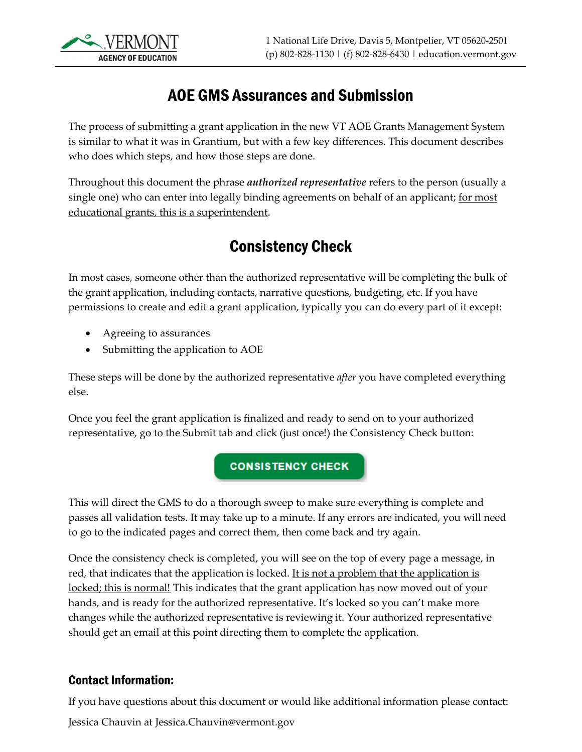

### AOE GMS Assurances and Submission

The process of submitting a grant application in the new VT AOE Grants Management System is similar to what it was in Grantium, but with a few key differences. This document describes who does which steps, and how those steps are done.

Throughout this document the phrase *authorized representative* refers to the person (usually a single one) who can enter into legally binding agreements on behalf of an applicant; for most educational grants, this is a superintendent.

# Consistency Check

In most cases, someone other than the authorized representative will be completing the bulk of the grant application, including contacts, narrative questions, budgeting, etc. If you have permissions to create and edit a grant application, typically you can do every part of it except:

- Agreeing to assurances
- Submitting the application to AOE

These steps will be done by the authorized representative *after* you have completed everything else.

Once you feel the grant application is finalized and ready to send on to your authorized representative, go to the Submit tab and click (just once!) the Consistency Check button:

### **CONSISTENCY CHECK**

This will direct the GMS to do a thorough sweep to make sure everything is complete and passes all validation tests. It may take up to a minute. If any errors are indicated, you will need to go to the indicated pages and correct them, then come back and try again.

Once the consistency check is completed, you will see on the top of every page a message, in red, that indicates that the application is locked. It is not a problem that the application is locked; this is normal! This indicates that the grant application has now moved out of your hands, and is ready for the authorized representative. It's locked so you can't make more changes while the authorized representative is reviewing it. Your authorized representative should get an email at this point directing them to complete the application.

### Contact Information:

If you have questions about this document or would like additional information please contact:

Jessica Chauvin at Jessica.Chauvin@vermont.gov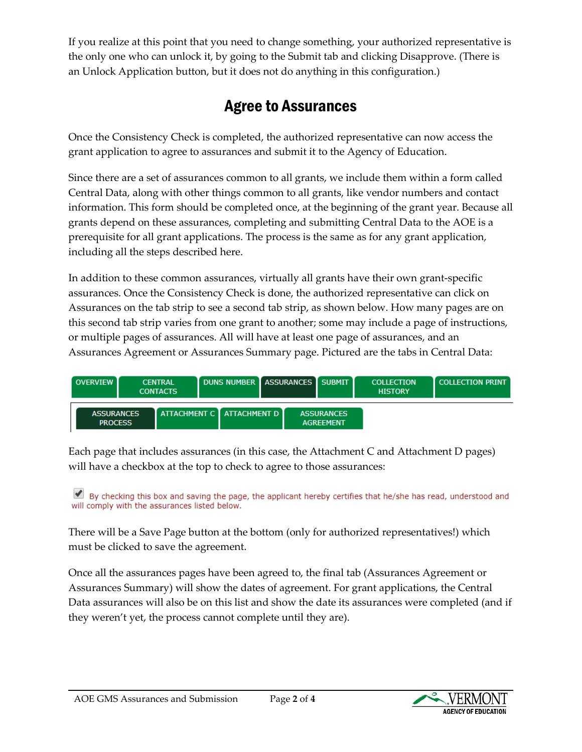If you realize at this point that you need to change something, your authorized representative is the only one who can unlock it, by going to the Submit tab and clicking Disapprove. (There is an Unlock Application button, but it does not do anything in this configuration.)

# Agree to Assurances

Once the Consistency Check is completed, the authorized representative can now access the grant application to agree to assurances and submit it to the Agency of Education.

Since there are a set of assurances common to all grants, we include them within a form called Central Data, along with other things common to all grants, like vendor numbers and contact information. This form should be completed once, at the beginning of the grant year. Because all grants depend on these assurances, completing and submitting Central Data to the AOE is a prerequisite for all grant applications. The process is the same as for any grant application, including all the steps described here.

In addition to these common assurances, virtually all grants have their own grant-specific assurances. Once the Consistency Check is done, the authorized representative can click on Assurances on the tab strip to see a second tab strip, as shown below. How many pages are on this second tab strip varies from one grant to another; some may include a page of instructions, or multiple pages of assurances. All will have at least one page of assurances, and an Assurances Agreement or Assurances Summary page. Pictured are the tabs in Central Data:



Each page that includes assurances (in this case, the Attachment C and Attachment D pages) will have a checkbox at the top to check to agree to those assurances:

By checking this box and saving the page, the applicant hereby certifies that he/she has read, understood and will comply with the assurances listed below.

There will be a Save Page button at the bottom (only for authorized representatives!) which must be clicked to save the agreement.

Once all the assurances pages have been agreed to, the final tab (Assurances Agreement or Assurances Summary) will show the dates of agreement. For grant applications, the Central Data assurances will also be on this list and show the date its assurances were completed (and if they weren't yet, the process cannot complete until they are).

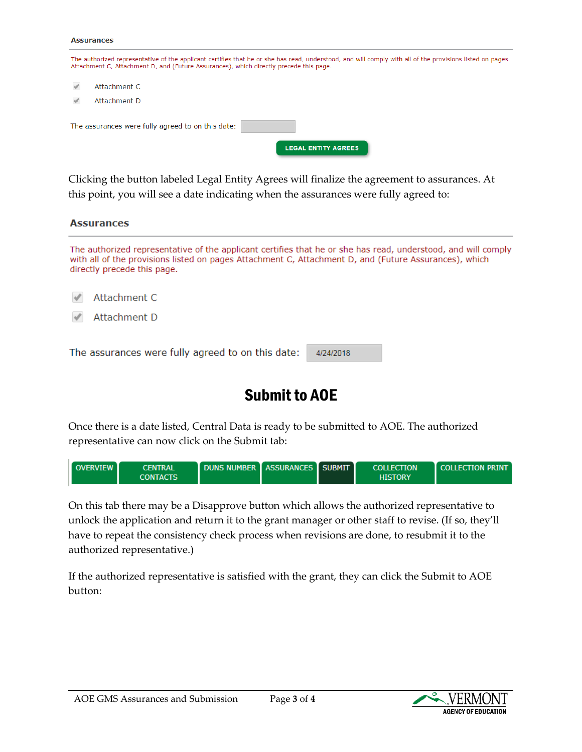#### **Assurances**

| The authorized representative of the applicant certifies that he or she has read, understood, and will comply with all of the provisions listed on pages<br>Attachment C, Attachment D, and (Future Assurances), which directly precede this page. |  |  |
|----------------------------------------------------------------------------------------------------------------------------------------------------------------------------------------------------------------------------------------------------|--|--|
| Attachment C                                                                                                                                                                                                                                       |  |  |
| Attachment D                                                                                                                                                                                                                                       |  |  |
| The assurances were fully agreed to on this date:                                                                                                                                                                                                  |  |  |
| <b>LEGAL ENTITY AGREES</b>                                                                                                                                                                                                                         |  |  |

Clicking the button labeled Legal Entity Agrees will finalize the agreement to assurances. At this point, you will see a date indicating when the assurances were fully agreed to:

| <b>Assurances</b><br>The authorized representative of the applicant certifies that he or she has read, understood, and will comply<br>with all of the provisions listed on pages Attachment C, Attachment D, and (Future Assurances), which<br>directly precede this page. |           |  |
|----------------------------------------------------------------------------------------------------------------------------------------------------------------------------------------------------------------------------------------------------------------------------|-----------|--|
|                                                                                                                                                                                                                                                                            |           |  |
| The assurances were fully agreed to on this date:                                                                                                                                                                                                                          | 4/24/2018 |  |

## Submit to AOE

Once there is a date listed, Central Data is ready to be submitted to AOE. The authorized representative can now click on the Submit tab:



On this tab there may be a Disapprove button which allows the authorized representative to unlock the application and return it to the grant manager or other staff to revise. (If so, they'll have to repeat the consistency check process when revisions are done, to resubmit it to the authorized representative.)

If the authorized representative is satisfied with the grant, they can click the Submit to AOE button: